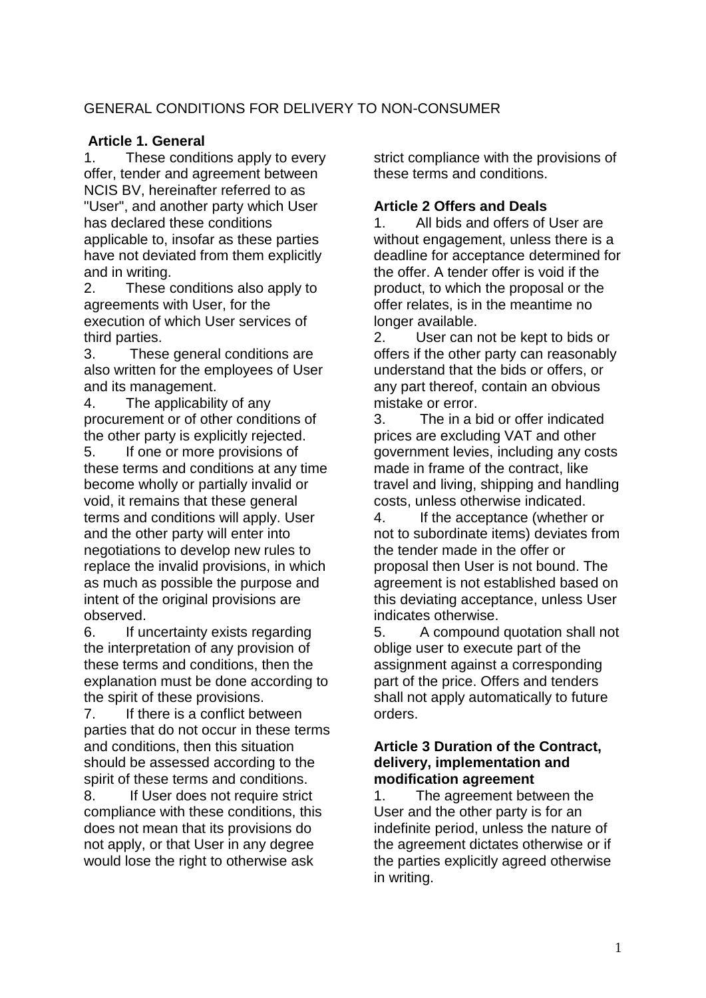# GENERAL CONDITIONS FOR DELIVERY TO NON-CONSUMER

# **Article 1. General**

1. These conditions apply to every offer, tender and agreement between NCIS BV, hereinafter referred to as "User", and another party which User has declared these conditions applicable to, insofar as these parties have not deviated from them explicitly and in writing.

2. These conditions also apply to agreements with User, for the execution of which User services of third parties.

3. These general conditions are also written for the employees of User and its management.

4. The applicability of any procurement or of other conditions of the other party is explicitly rejected.

5. If one or more provisions of these terms and conditions at any time become wholly or partially invalid or void, it remains that these general terms and conditions will apply. User and the other party will enter into negotiations to develop new rules to replace the invalid provisions, in which as much as possible the purpose and intent of the original provisions are observed.

6. If uncertainty exists regarding the interpretation of any provision of these terms and conditions, then the explanation must be done according to the spirit of these provisions.

7. If there is a conflict between parties that do not occur in these terms and conditions, then this situation should be assessed according to the spirit of these terms and conditions.

8. If User does not require strict compliance with these conditions, this does not mean that its provisions do not apply, or that User in any degree would lose the right to otherwise ask

strict compliance with the provisions of these terms and conditions.

# **Article 2 Offers and Deals**

1. All bids and offers of User are without engagement, unless there is a deadline for acceptance determined for the offer. A tender offer is void if the product, to which the proposal or the offer relates, is in the meantime no longer available.

2. User can not be kept to bids or offers if the other party can reasonably understand that the bids or offers, or any part thereof, contain an obvious mistake or error.

3. The in a bid or offer indicated prices are excluding VAT and other government levies, including any costs made in frame of the contract, like travel and living, shipping and handling costs, unless otherwise indicated.

4. If the acceptance (whether or not to subordinate items) deviates from the tender made in the offer or proposal then User is not bound. The agreement is not established based on this deviating acceptance, unless User indicates otherwise.

5. A compound quotation shall not oblige user to execute part of the assignment against a corresponding part of the price. Offers and tenders shall not apply automatically to future orders.

#### **Article 3 Duration of the Contract, delivery, implementation and modification agreement**

1. The agreement between the User and the other party is for an indefinite period, unless the nature of the agreement dictates otherwise or if the parties explicitly agreed otherwise in writing.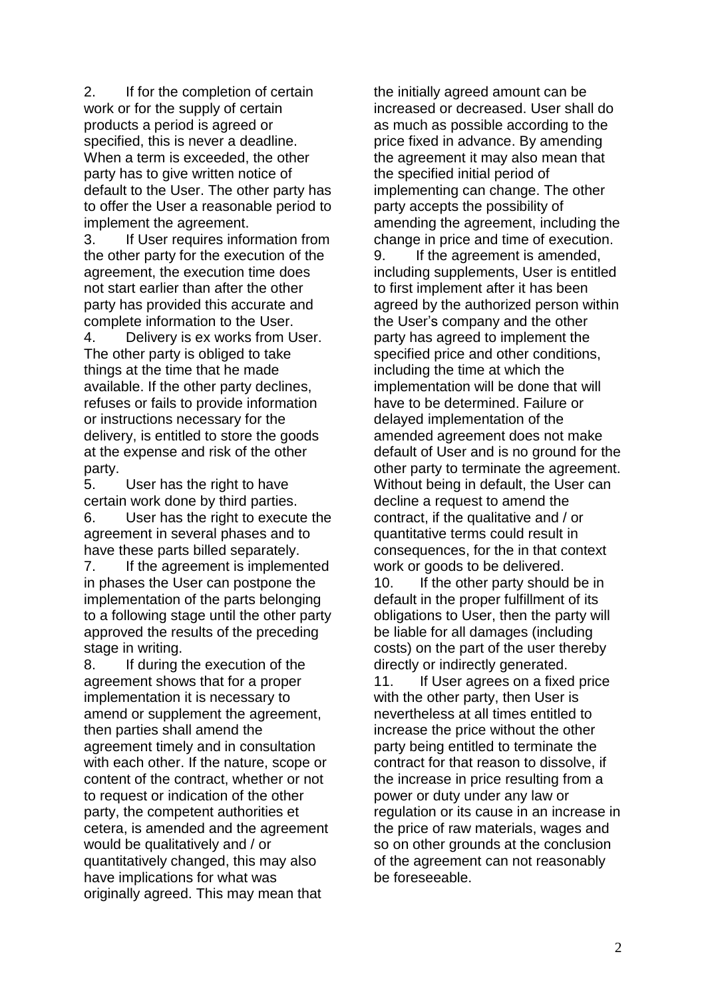2. If for the completion of certain work or for the supply of certain products a period is agreed or specified, this is never a deadline. When a term is exceeded, the other party has to give written notice of default to the User. The other party has to offer the User a reasonable period to implement the agreement.

3. If User requires information from the other party for the execution of the agreement, the execution time does not start earlier than after the other party has provided this accurate and complete information to the User.

4. Delivery is ex works from User. The other party is obliged to take things at the time that he made available. If the other party declines, refuses or fails to provide information or instructions necessary for the delivery, is entitled to store the goods at the expense and risk of the other party.

5. User has the right to have certain work done by third parties. 6. User has the right to execute the

agreement in several phases and to have these parts billed separately.

7. If the agreement is implemented in phases the User can postpone the implementation of the parts belonging to a following stage until the other party approved the results of the preceding stage in writing.

8. If during the execution of the agreement shows that for a proper implementation it is necessary to amend or supplement the agreement, then parties shall amend the agreement timely and in consultation with each other. If the nature, scope or content of the contract, whether or not to request or indication of the other party, the competent authorities et cetera, is amended and the agreement would be qualitatively and / or quantitatively changed, this may also have implications for what was originally agreed. This may mean that

the initially agreed amount can be increased or decreased. User shall do as much as possible according to the price fixed in advance. By amending the agreement it may also mean that the specified initial period of implementing can change. The other party accepts the possibility of amending the agreement, including the change in price and time of execution. 9. If the agreement is amended, including supplements, User is entitled to first implement after it has been agreed by the authorized person within the User's company and the other party has agreed to implement the specified price and other conditions, including the time at which the implementation will be done that will have to be determined. Failure or delayed implementation of the amended agreement does not make default of User and is no ground for the other party to terminate the agreement. Without being in default, the User can decline a request to amend the contract, if the qualitative and / or quantitative terms could result in consequences, for the in that context work or goods to be delivered. 10. If the other party should be in default in the proper fulfillment of its obligations to User, then the party will be liable for all damages (including

directly or indirectly generated. 11. If User agrees on a fixed price with the other party, then User is nevertheless at all times entitled to increase the price without the other party being entitled to terminate the contract for that reason to dissolve, if the increase in price resulting from a power or duty under any law or regulation or its cause in an increase in the price of raw materials, wages and so on other grounds at the conclusion of the agreement can not reasonably be foreseeable.

costs) on the part of the user thereby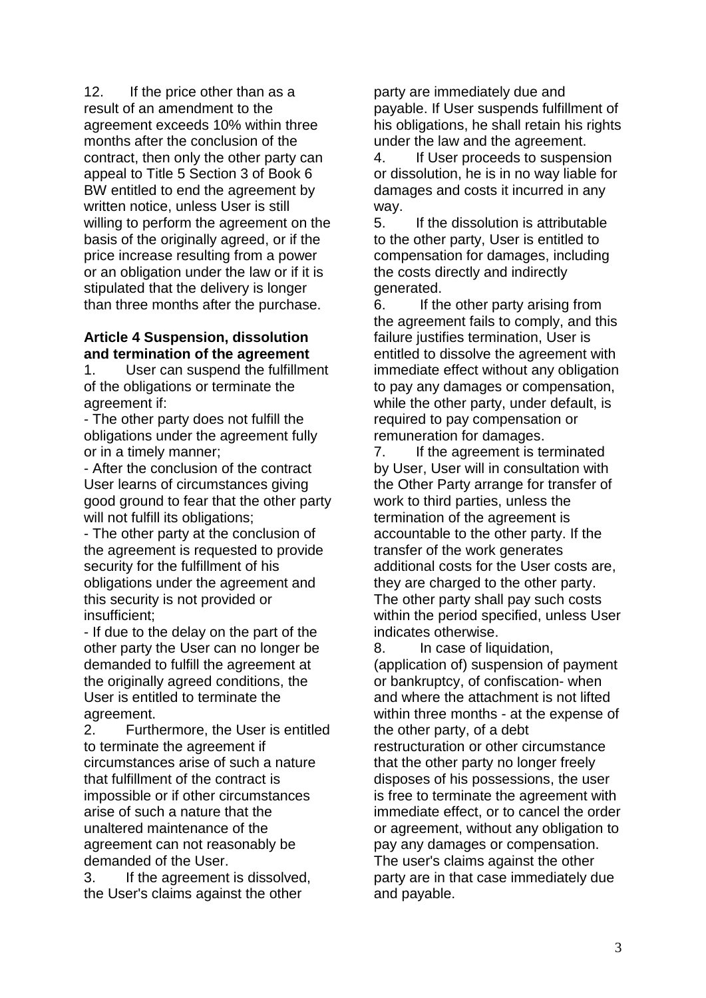12. If the price other than as a result of an amendment to the agreement exceeds 10% within three months after the conclusion of the contract, then only the other party can appeal to Title 5 Section 3 of Book 6 BW entitled to end the agreement by written notice, unless User is still willing to perform the agreement on the basis of the originally agreed, or if the price increase resulting from a power or an obligation under the law or if it is stipulated that the delivery is longer than three months after the purchase.

#### **Article 4 Suspension, dissolution and termination of the agreement**

1. User can suspend the fulfillment of the obligations or terminate the agreement if:

- The other party does not fulfill the obligations under the agreement fully or in a timely manner;

- After the conclusion of the contract User learns of circumstances giving good ground to fear that the other party will not fulfill its obligations;

- The other party at the conclusion of the agreement is requested to provide security for the fulfillment of his obligations under the agreement and this security is not provided or insufficient;

- If due to the delay on the part of the other party the User can no longer be demanded to fulfill the agreement at the originally agreed conditions, the User is entitled to terminate the agreement.

2. Furthermore, the User is entitled to terminate the agreement if circumstances arise of such a nature that fulfillment of the contract is impossible or if other circumstances arise of such a nature that the unaltered maintenance of the agreement can not reasonably be demanded of the User.

3. If the agreement is dissolved, the User's claims against the other

party are immediately due and payable. If User suspends fulfillment of his obligations, he shall retain his rights under the law and the agreement.

4. If User proceeds to suspension or dissolution, he is in no way liable for damages and costs it incurred in any way.

5. If the dissolution is attributable to the other party, User is entitled to compensation for damages, including the costs directly and indirectly generated.

6. If the other party arising from the agreement fails to comply, and this failure justifies termination, User is entitled to dissolve the agreement with immediate effect without any obligation to pay any damages or compensation, while the other party, under default, is required to pay compensation or remuneration for damages.

7. If the agreement is terminated by User, User will in consultation with the Other Party arrange for transfer of work to third parties, unless the termination of the agreement is accountable to the other party. If the transfer of the work generates additional costs for the User costs are, they are charged to the other party. The other party shall pay such costs within the period specified, unless User indicates otherwise.

8. In case of liquidation, (application of) suspension of payment or bankruptcy, of confiscation- when and where the attachment is not lifted within three months - at the expense of the other party, of a debt restructuration or other circumstance that the other party no longer freely disposes of his possessions, the user is free to terminate the agreement with immediate effect, or to cancel the order or agreement, without any obligation to pay any damages or compensation. The user's claims against the other party are in that case immediately due and payable.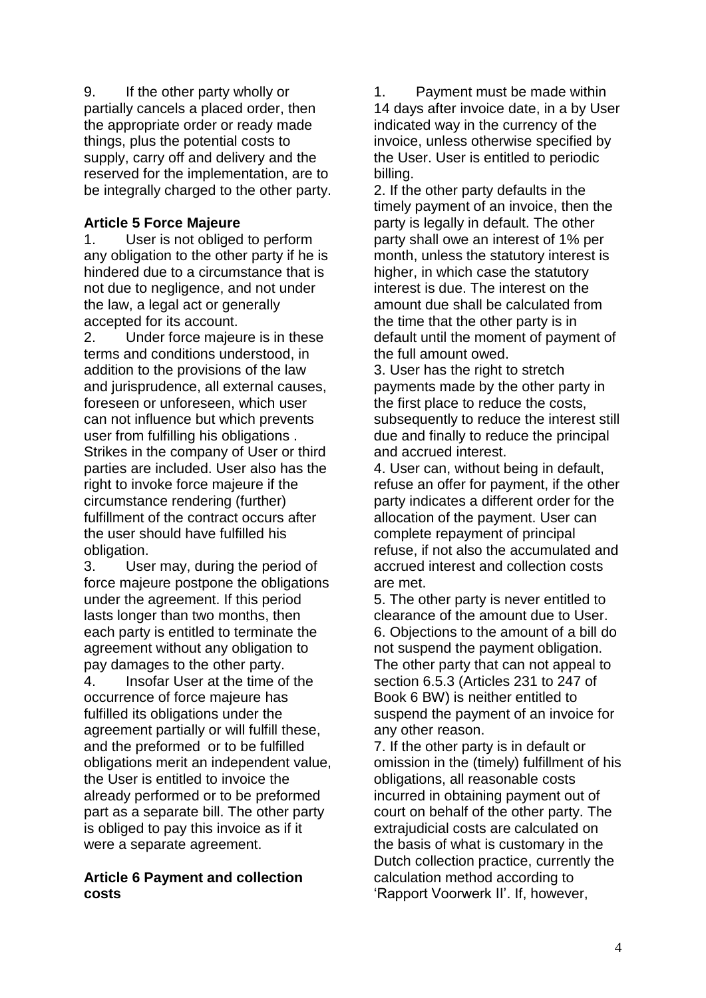9. If the other party wholly or partially cancels a placed order, then the appropriate order or ready made things, plus the potential costs to supply, carry off and delivery and the reserved for the implementation, are to be integrally charged to the other party.

# **Article 5 Force Majeure**

1. User is not obliged to perform any obligation to the other party if he is hindered due to a circumstance that is not due to negligence, and not under the law, a legal act or generally accepted for its account.

2. Under force majeure is in these terms and conditions understood, in addition to the provisions of the law and jurisprudence, all external causes, foreseen or unforeseen, which user can not influence but which prevents user from fulfilling his obligations . Strikes in the company of User or third parties are included. User also has the right to invoke force majeure if the circumstance rendering (further) fulfillment of the contract occurs after the user should have fulfilled his obligation.

3. User may, during the period of force majeure postpone the obligations under the agreement. If this period lasts longer than two months, then each party is entitled to terminate the agreement without any obligation to pay damages to the other party.

4. Insofar User at the time of the occurrence of force majeure has fulfilled its obligations under the agreement partially or will fulfill these, and the preformed or to be fulfilled obligations merit an independent value, the User is entitled to invoice the already performed or to be preformed part as a separate bill. The other party is obliged to pay this invoice as if it were a separate agreement.

### **Article 6 Payment and collection costs**

1. Payment must be made within 14 days after invoice date, in a by User indicated way in the currency of the invoice, unless otherwise specified by the User. User is entitled to periodic billing.

2. If the other party defaults in the timely payment of an invoice, then the party is legally in default. The other party shall owe an interest of 1% per month, unless the statutory interest is higher, in which case the statutory interest is due. The interest on the amount due shall be calculated from the time that the other party is in default until the moment of payment of the full amount owed.

3. User has the right to stretch payments made by the other party in the first place to reduce the costs, subsequently to reduce the interest still due and finally to reduce the principal and accrued interest.

4. User can, without being in default, refuse an offer for payment, if the other party indicates a different order for the allocation of the payment. User can complete repayment of principal refuse, if not also the accumulated and accrued interest and collection costs are met.

5. The other party is never entitled to clearance of the amount due to User. 6. Objections to the amount of a bill do not suspend the payment obligation. The other party that can not appeal to section 6.5.3 (Articles 231 to 247 of Book 6 BW) is neither entitled to suspend the payment of an invoice for any other reason.

7. If the other party is in default or omission in the (timely) fulfillment of his obligations, all reasonable costs incurred in obtaining payment out of court on behalf of the other party. The extrajudicial costs are calculated on the basis of what is customary in the Dutch collection practice, currently the calculation method according to 'Rapport Voorwerk II'. If, however,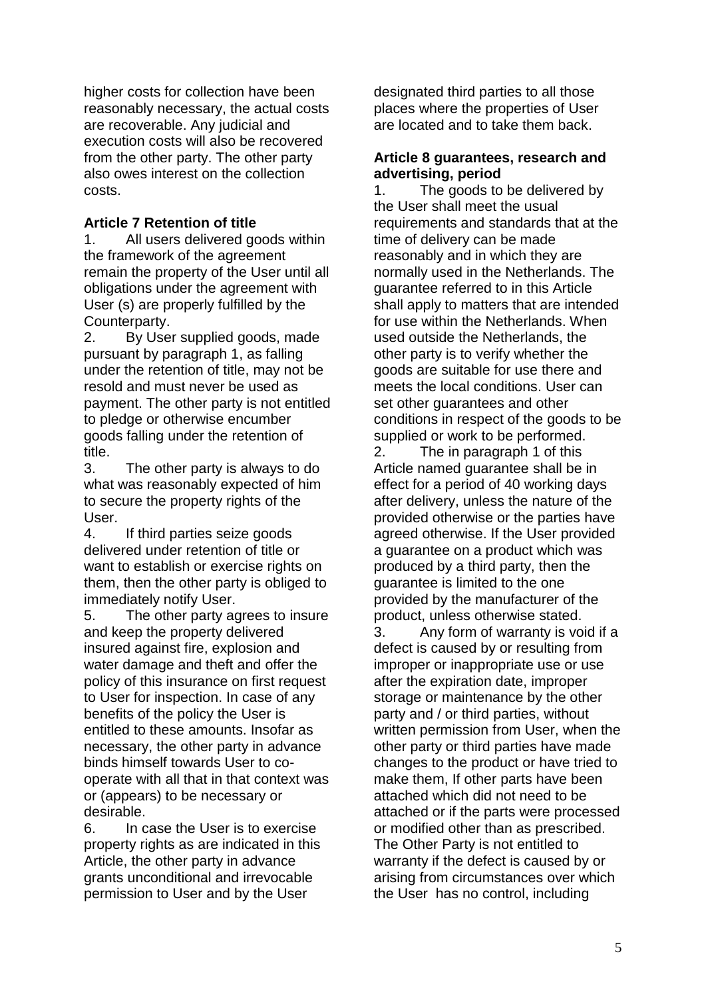higher costs for collection have been reasonably necessary, the actual costs are recoverable. Any judicial and execution costs will also be recovered from the other party. The other party also owes interest on the collection costs.

# **Article 7 Retention of title**

1. All users delivered goods within the framework of the agreement remain the property of the User until all obligations under the agreement with User (s) are properly fulfilled by the Counterparty.

2. By User supplied goods, made pursuant by paragraph 1, as falling under the retention of title, may not be resold and must never be used as payment. The other party is not entitled to pledge or otherwise encumber goods falling under the retention of title.

3. The other party is always to do what was reasonably expected of him to secure the property rights of the User.

4. If third parties seize goods delivered under retention of title or want to establish or exercise rights on them, then the other party is obliged to immediately notify User.

5. The other party agrees to insure and keep the property delivered insured against fire, explosion and water damage and theft and offer the policy of this insurance on first request to User for inspection. In case of any benefits of the policy the User is entitled to these amounts. Insofar as necessary, the other party in advance binds himself towards User to cooperate with all that in that context was or (appears) to be necessary or desirable.

6. In case the User is to exercise property rights as are indicated in this Article, the other party in advance grants unconditional and irrevocable permission to User and by the User

designated third parties to all those places where the properties of User are located and to take them back.

### **Article 8 guarantees, research and advertising, period**

1. The goods to be delivered by the User shall meet the usual requirements and standards that at the time of delivery can be made reasonably and in which they are normally used in the Netherlands. The guarantee referred to in this Article shall apply to matters that are intended for use within the Netherlands. When used outside the Netherlands, the other party is to verify whether the goods are suitable for use there and meets the local conditions. User can set other guarantees and other conditions in respect of the goods to be supplied or work to be performed.

2. The in paragraph 1 of this Article named guarantee shall be in effect for a period of 40 working days after delivery, unless the nature of the provided otherwise or the parties have agreed otherwise. If the User provided a guarantee on a product which was produced by a third party, then the guarantee is limited to the one provided by the manufacturer of the product, unless otherwise stated.

3. Any form of warranty is void if a defect is caused by or resulting from improper or inappropriate use or use after the expiration date, improper storage or maintenance by the other party and / or third parties, without written permission from User, when the other party or third parties have made changes to the product or have tried to make them, If other parts have been attached which did not need to be attached or if the parts were processed or modified other than as prescribed. The Other Party is not entitled to warranty if the defect is caused by or arising from circumstances over which the User has no control, including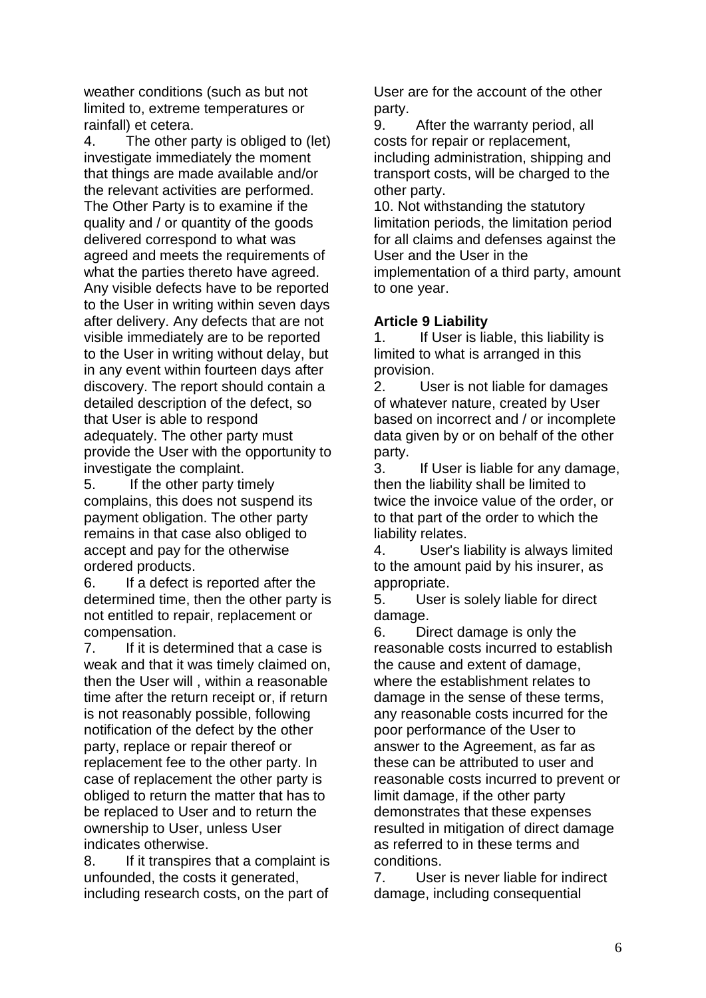weather conditions (such as but not limited to, extreme temperatures or rainfall) et cetera.

4. The other party is obliged to (let) investigate immediately the moment that things are made available and/or the relevant activities are performed. The Other Party is to examine if the quality and / or quantity of the goods delivered correspond to what was agreed and meets the requirements of what the parties thereto have agreed. Any visible defects have to be reported to the User in writing within seven days after delivery. Any defects that are not visible immediately are to be reported to the User in writing without delay, but in any event within fourteen days after discovery. The report should contain a detailed description of the defect, so that User is able to respond adequately. The other party must provide the User with the opportunity to investigate the complaint.

5. If the other party timely complains, this does not suspend its payment obligation. The other party remains in that case also obliged to accept and pay for the otherwise ordered products.

6. If a defect is reported after the determined time, then the other party is not entitled to repair, replacement or compensation.

7. If it is determined that a case is weak and that it was timely claimed on, then the User will , within a reasonable time after the return receipt or, if return is not reasonably possible, following notification of the defect by the other party, replace or repair thereof or replacement fee to the other party. In case of replacement the other party is obliged to return the matter that has to be replaced to User and to return the ownership to User, unless User indicates otherwise.

8. If it transpires that a complaint is unfounded, the costs it generated, including research costs, on the part of

User are for the account of the other party.

9. After the warranty period, all costs for repair or replacement, including administration, shipping and transport costs, will be charged to the other party.

10. Not withstanding the statutory limitation periods, the limitation period for all claims and defenses against the User and the User in the implementation of a third party, amount to one year.

# **Article 9 Liability**

1. If User is liable, this liability is limited to what is arranged in this provision.

2. User is not liable for damages of whatever nature, created by User based on incorrect and / or incomplete data given by or on behalf of the other party.

3. If User is liable for any damage, then the liability shall be limited to twice the invoice value of the order, or to that part of the order to which the liability relates.

4. User's liability is always limited to the amount paid by his insurer, as appropriate.

5. User is solely liable for direct damage.

6. Direct damage is only the reasonable costs incurred to establish the cause and extent of damage, where the establishment relates to damage in the sense of these terms, any reasonable costs incurred for the poor performance of the User to answer to the Agreement, as far as these can be attributed to user and reasonable costs incurred to prevent or limit damage, if the other party demonstrates that these expenses resulted in mitigation of direct damage as referred to in these terms and conditions.

7. User is never liable for indirect damage, including consequential